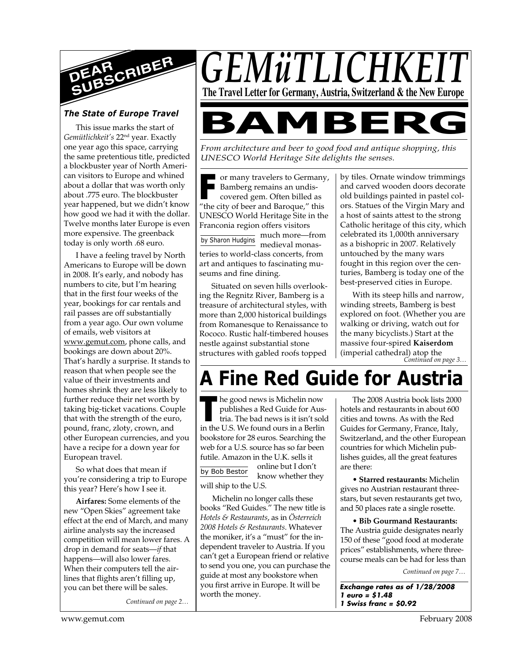

## *The State of Europe Travel*

This issue marks the start of *Gemütlichkeit's* 22nd year. Exactly one year ago this space, carrying the same pretentious title, predicted a blockbuster year of North American visitors to Europe and whined about a dollar that was worth only about .775 euro. The blockbuster year happened, but we didn't know how good we had it with the dollar. Twelve months later Europe is even more expensive. The greenback today is only worth .68 euro.

I have a feeling travel by North Americans to Europe will be down in 2008. It's early, and nobody has numbers to cite, but I'm hearing that in the first four weeks of the year, bookings for car rentals and rail passes are off substantially from a year ago. Our own volume of emails, web visitors at www.gemut.com, phone calls, and bookings are down about 20%. That's hardly a surprise. It stands to reason that when people see the value of their investments and homes shrink they are less likely to further reduce their net worth by taking big-ticket vacations. Couple that with the strength of the euro, pound, franc, zloty, crown, and other European currencies, and you have a recipe for a down year for European travel.

So what does that mean if you're considering a trip to Europe this year? Here's how I see it.

**Airfares:** Some elements of the new "Open Skies" agreement take effect at the end of March, and many airline analysts say the increased competition will mean lower fares. A drop in demand for seats—*if* that happens—will also lower fares. When their computers tell the airlines that flights aren't filling up, you can bet there will be sales.

*Continued on page 2…*



*From architecture and beer to good food and antique shopping, this UNESCO World Heritage Site delights the senses.*

**F** or many travelers to Germany<br> **F** Bamberg remains an undis-<br>
covered gem. Often billed as<br>
"the city of beer and Baroque," this or many travelers to Germany, Bamberg remains an undiscovered gem. Often billed as UNESCO World Heritage Site in the Franconia region offers visitors

by Sharon Hudgins much more—from medieval monasteries to world-class concerts, from art and antiques to fascinating museums and fine dining.

Situated on seven hills overlooking the Regnitz River, Bamberg is a treasure of architectural styles, with more than 2,000 historical buildings from Romanesque to Renaissance to Rococo. Rustic half-timbered houses nestle against substantial stone structures with gabled roofs topped by tiles. Ornate window trimmings and carved wooden doors decorate old buildings painted in pastel colors. Statues of the Virgin Mary and a host of saints attest to the strong Catholic heritage of this city, which celebrated its 1,000th anniversary as a bishopric in 2007. Relatively untouched by the many wars fought in this region over the centuries, Bamberg is today one of the best-preserved cities in Europe.

*Continued on page 3…* With its steep hills and narrow, winding streets, Bamberg is best explored on foot. (Whether you are walking or driving, watch out for the many bicyclists.) Start at the massive four-spired **Kaiserdom** (imperial cathedral) atop the

# **A Fine Red Guide for Austria**

In the good news is Michelin now<br>
publishes a Red Guide for Aus<br>
tria. The bad news is it isn't sol<br>
in the U.S. We found ours in a Berlin he good news is Michelin now publishes a Red Guide for Austria. The bad news is it isn't sold bookstore for 28 euros. Searching the web for a U.S. source has so far been futile. Amazon in the  $U K$  sells it online but I don't

by Bob Bestor know whether they will ship to the U.S.

Michelin no longer calls these books "Red Guides." The new title is *Hotels & Restaurants*, as in *Österreich 2008 Hotels & Restaurants*. Whatever the moniker, it's a "must" for the independent traveler to Austria. If you can't get a European friend or relative to send you one, you can purchase the guide at most any bookstore when you first arrive in Europe. It will be worth the money.

The 2008 Austria book lists 2000 hotels and restaurants in about 600 cities and towns. As with the Red Guides for Germany, France, Italy, Switzerland, and the other European countries for which Michelin publishes guides, all the great features are there:

**• Starred restaurants:** Michelin gives no Austrian restaurant threestars, but seven restaurants get two, and 50 places rate a single rosette.

**• Bib Gourmand Restaurants:** The Austria guide designates nearly 150 of these "good food at moderate prices" establishments, where threecourse meals can be had for less than

*Continued on page 7…*

**Exchange rates as of 1/28/2008 1 euro = \$1.48 1 Swiss franc = \$0.92**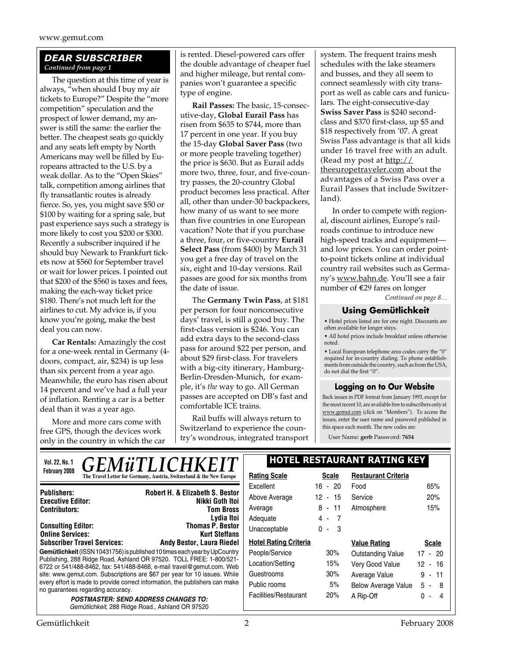## *DEAR SUBSCRIBER Continued from page 1*

The question at this time of year is always, "when should I buy my air tickets to Europe?" Despite the "more competition" speculation and the prospect of lower demand, my answer is still the same: the earlier the better. The cheapest seats go quickly and any seats left empty by North Americans may well be filled by Europeans attracted to the U.S. by a weak dollar. As to the "Open Skies" talk, competition among airlines that fly transatlantic routes is already fierce. So, yes, you might save \$50 or \$100 by waiting for a spring sale, but past experience says such a strategy is more likely to cost you \$200 or \$300. Recently a subscriber inquired if he should buy Newark to Frankfurt tickets now at \$560 for September travel or wait for lower prices. I pointed out that \$200 of the \$560 is taxes and fees, making the each-way ticket price \$180. There's not much left for the airlines to cut. My advice is, if you know you're going, make the best deal you can now.

**Car Rentals:** Amazingly the cost for a one-week rental in Germany (4 doors, compact, air, \$234) is up less than six percent from a year ago. Meanwhile, the euro has risen about 14 percent and we've had a full year of inflation. Renting a car is a better deal than it was a year ago.

More and more cars come with free GPS, though the devices work only in the country in which the car is rented. Diesel-powered cars offer the double advantage of cheaper fuel and higher mileage, but rental companies won't guarantee a specific type of engine.

**Rail Passes:** The basic, 15-consecutive-day, **Global Eurail Pass** has risen from \$635 to \$744, more than 17 percent in one year. If you buy the 15-day **Global Saver Pass** (two or more people traveling together) the price is \$630. But as Eurail adds more two, three, four, and five-country passes, the 20-country Global product becomes less practical. After all, other than under-30 backpackers, how many of us want to see more than five countries in one European vacation? Note that if you purchase a three, four, or five-country **Eurail Select Pass** (from \$400) by March 31 you get a free day of travel on the six, eight and 10-day versions. Rail passes are good for six months from the date of issue.

The **Germany Twin Pass**, at \$181 per person for four nonconsecutive days' travel, is still a good buy. The first-class version is \$246. You can add extra days to the second-class pass for around \$22 per person, and about \$29 first-class. For travelers with a big-city itinerary, Hamburg-Berlin-Dresden-Munich, for example, it's *the* way to go. All German passes are accepted on DB's fast and comfortable ICE trains.

Rail buffs will always return to Switzerland to experience the country's wondrous, integrated transport system. The frequent trains mesh schedules with the lake steamers and busses, and they all seem to connect seamlessly with city transport as well as cable cars and funiculars. The eight-consecutive-day **Swiss Saver Pass** is \$240 secondclass and \$370 first-class, up \$5 and \$18 respectively from '07. A great Swiss Pass advantage is that all kids under 16 travel free with an adult. (Read my post at  $\frac{http://}{$ theeuropetraveler.com about the advantages of a Swiss Pass over a Eurail Passes that include Switzerland).

In order to compete with regional, discount airlines, Europe's railroads continue to introduce new high-speed tracks and equipment and low prices. You can order pointto-point tickets online at individual country rail websites such as Germany's www.bahn.de. You'll see a fair number of E29 fares on longer

*Continued on page 8…*

## **Using Gemütlichkeit**

• Hotel prices listed are for one night. Discounts are often available for longer stays.

• All hotel prices include breakfast unless otherwise noted.

 $\bullet$  Local European telephone area codes carry the "0" required for in-country dialing. To phone establishments from outside the country, such as from the USA, do not dial the first "0".

## **Logging on to Our Website**

Back issues in PDF format from January 1993, except for the most recent 10, are available free to subscribers only at www.gemut.com (click on "Members"). To access the issues, enter the user name and password published in this space each month. The new codes are:

User Name: **gerb** Password: **7654**

| <b>GEMÜTLICHKEIT</b><br>Vol. 22, No. 1                                                                                                       | <b>HOTEL RESTAURANT RATING KEY</b> |              |                            |              |
|----------------------------------------------------------------------------------------------------------------------------------------------|------------------------------------|--------------|----------------------------|--------------|
| <b>February 2008</b><br>The Travel Letter for Germany, Austria, Switzerland & the New Europe                                                 | <b>Rating Scale</b>                | <b>Scale</b> | <b>Restaurant Criteria</b> |              |
|                                                                                                                                              | Excellent                          | $-20$<br>16  | Food                       | 65%          |
| <b>Robert H. &amp; Elizabeth S. Bestor</b><br><b>Publishers:</b><br>Nikki Goth Itoi<br><b>Executive Editor:</b>                              | Above Average                      | 12<br>$-15$  | Service                    | 20%          |
| <b>Contributors:</b><br><b>Tom Bross</b>                                                                                                     | Average                            | $8 - 11$     | Atmosphere                 | 15%          |
| Lydia Itoi                                                                                                                                   | Adequate                           | 4 - 7        |                            |              |
| <b>Thomas P. Bestor</b><br><b>Consulting Editor:</b><br><b>Online Services:</b><br><b>Kurt Steffans</b>                                      | Unacceptable                       | $0 - 3$      |                            |              |
| <b>Subscriber Travel Services:</b><br><b>Andy Bestor, Laura Riedel</b>                                                                       | <b>Hotel Rating Criteria</b>       |              | <b>Value Rating</b>        | <b>Scale</b> |
| Gemütlichkeit (ISSN 10431756) is published 10 times each year by UpCountry                                                                   | People/Service                     | 30%          | Outstanding Value          | $17 - 20$    |
| Publishing, 288 Ridge Road, Ashland OR 97520. TOLL FREE: 1-800/521-<br>6722 or 541/488-8462, fax: 541/488-8468, e-mail travel@gemut.com. Web | Location/Setting                   | 15%          | Very Good Value            | $12 - 16$    |
| site: www.gemut.com. Subscriptions are \$67 per year for 10 issues. While                                                                    | Guestrooms                         | 30%          | Average Value              | $9 - 11$     |
| every effort is made to provide correct information, the publishers can make<br>no quarantees regarding accuracy.                            | Public rooms                       | 5%           | <b>Below Average Value</b> | $5 -$<br>8   |
| <b>POSTMASTER: SEND ADDRESS CHANGES TO:</b><br>Gemütlichkeit, 288 Ridge Road., Ashland OR 97520                                              | Facilities/Restaurant              | 20%          | A Rip-Off                  | $0 -$<br>4   |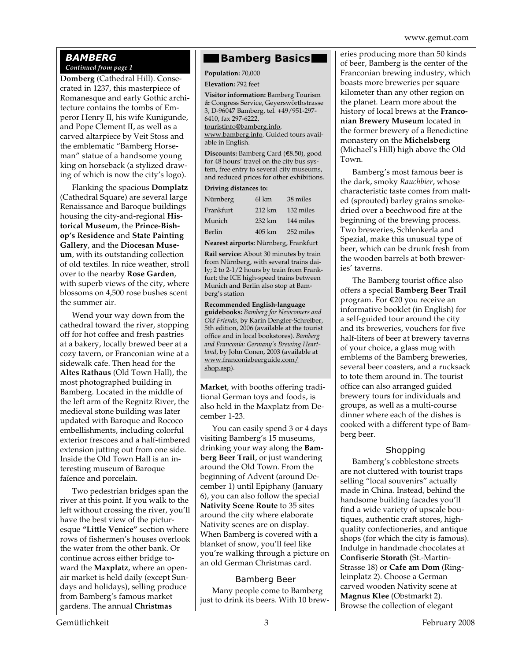www.gemut.com

#### *BAMBERG Continued from page 1*

**Domberg** (Cathedral Hill). Consecrated in 1237, this masterpiece of Romanesque and early Gothic architecture contains the tombs of Emperor Henry II, his wife Kunigunde, and Pope Clement II, as well as a carved altarpiece by Veit Stoss and the emblematic "Bamberg Horseman" statue of a handsome young king on horseback (a stylized drawing of which is now the city's logo).

Flanking the spacious **Domplatz** (Cathedral Square) are several large Renaissance and Baroque buildings housing the city-and-regional **Historical Museum**, the **Prince-Bishop's Residence** and **State Painting Gallery**, and the **Diocesan Museum**, with its outstanding collection of old textiles. In nice weather, stroll over to the nearby **Rose Garden**, with superb views of the city, where blossoms on 4,500 rose bushes scent the summer air.

Wend your way down from the cathedral toward the river, stopping off for hot coffee and fresh pastries at a bakery, locally brewed beer at a cozy tavern, or Franconian wine at a sidewalk cafe. Then head for the **Altes Rathaus** (Old Town Hall), the most photographed building in Bamberg. Located in the middle of the left arm of the Regnitz River, the medieval stone building was later updated with Baroque and Rococo embellishments, including colorful exterior frescoes and a half-timbered extension jutting out from one side. Inside the Old Town Hall is an interesting museum of Baroque faïence and porcelain.

Two pedestrian bridges span the river at this point. If you walk to the left without crossing the river, you'll have the best view of the picturesque **"Little Venice"** section where rows of fishermen's houses overlook the water from the other bank. Or continue across either bridge toward the **Maxplatz**, where an openair market is held daily (except Sundays and holidays), selling produce from Bamberg's famous market gardens. The annual **Christmas**

## **Bamberg Basics**

**Population:** 70,000

**Elevation:** 792 feet

**Visitor information:** Bamberg Tourism & Congress Service, Geyerswörthstrasse 3, D-96047 Bamberg, tel. +49/951-297- 6410, fax 297-6222, touristinfo@bamberg.info, www.bamberg.info. Guided tours available in English.

**Discounts:** Bamberg Card (€8.50), good for 48 hours' travel on the city bus system, free entry to several city museums, and reduced prices for other exhibitions.

#### **Driving distances to:**

| Nürnberg                              | 61 km             | 38 miles  |  |  |
|---------------------------------------|-------------------|-----------|--|--|
| Frankfurt                             | $212 \mathrm{km}$ | 132 miles |  |  |
| Munich                                | 232 km            | 144 miles |  |  |
| Berlin                                | 405 km            | 252 miles |  |  |
| Nearest airports: Nürnberg, Frankfurt |                   |           |  |  |

**Rail service:** About 30 minutes by train from Nürnberg, with several trains daily; 2 to 2-1/2 hours by train from Frankfurt; the ICE high-speed trains between Munich and Berlin also stop at Bamberg's station

**Recommended English-language guidebooks:** *Bamberg for Newcomers and Old Friends*, by Karin Dengler-Schreiber, 5th edition, 2006 (available at the tourist office and in local bookstores). *Bamberg and Franconia: Germany's Brewing Heartland*, by John Conen, 2003 (available at www.franconiabeerguide.com/ shop.asp).

**Market**, with booths offering traditional German toys and foods, is also held in the Maxplatz from December 1-23.

You can easily spend 3 or 4 days visiting Bamberg's 15 museums, drinking your way along the **Bamberg Beer Trail**, or just wandering around the Old Town. From the beginning of Advent (around December 1) until Epiphany (January 6), you can also follow the special **Nativity Scene Route** to 35 sites around the city where elaborate Nativity scenes are on display. When Bamberg is covered with a blanket of snow, you'll feel like you're walking through a picture on an old German Christmas card.

## Bamberg Beer

Many people come to Bamberg just to drink its beers. With 10 breweries producing more than 50 kinds of beer, Bamberg is the center of the Franconian brewing industry, which boasts more breweries per square kilometer than any other region on the planet. Learn more about the history of local brews at the **Franconian Brewery Museum** located in the former brewery of a Benedictine monastery on the **Michelsberg** (Michael's Hill) high above the Old Town.

Bamberg's most famous beer is the dark, smoky *Rauchbier*, whose characteristic taste comes from malted (sprouted) barley grains smokedried over a beechwood fire at the beginning of the brewing process. Two breweries, Schlenkerla and Spezial, make this unusual type of beer, which can be drunk fresh from the wooden barrels at both breweries' taverns.

The Bamberg tourist office also offers a special **Bamberg Beer Trail** program. For €20 you receive an informative booklet (in English) for a self-guided tour around the city and its breweries, vouchers for five half-liters of beer at brewery taverns of your choice, a glass mug with emblems of the Bamberg breweries, several beer coasters, and a rucksack to tote them around in. The tourist office can also arranged guided brewery tours for individuals and groups, as well as a multi-course dinner where each of the dishes is cooked with a different type of Bamberg beer.

## Shopping

Bamberg's cobblestone streets are not cluttered with tourist traps selling "local souvenirs" actually made in China. Instead, behind the handsome building facades you'll find a wide variety of upscale boutiques, authentic craft stores, highquality confectioneries, and antique shops (for which the city is famous). Indulge in handmade chocolates at **Confiserie Storath** (St.-Martin-Strasse 18) or **Cafe am Dom** (Ringleinplatz 2). Choose a German carved wooden Nativity scene at **Magnus Klee** (Obstmarkt 2). Browse the collection of elegant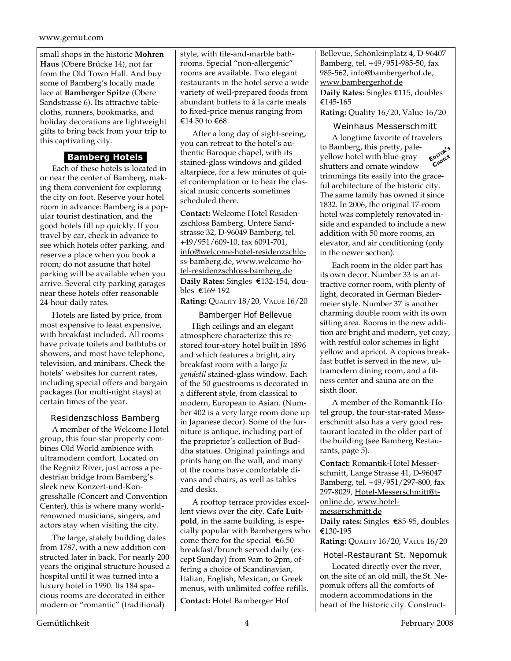small shops in the historic **Mohren Haus** (Obere Brücke 14), not far from the Old Town Hall. And buy some of Bamberg's locally made lace at **Bamberger Spitze** (Obere Sandstrasse 6). Its attractive tablecloths, runners, bookmarks, and holiday decorations are lightweight gifts to bring back from your trip to this captivating city.

## **Bamberg Hotels**

Each of these hotels is located in or near the center of Bamberg, making them convenient for exploring the city on foot. Reserve your hotel room in advance: Bamberg is a popular tourist destination, and the good hotels fill up quickly. If you travel by car, check in advance to see which hotels offer parking, and reserve a place when you book a room; do not assume that hotel parking will be available when you arrive. Several city parking garages near these hotels offer reasonable 24-hour daily rates.

Hotels are listed by price, from most expensive to least expensive, with breakfast included. All rooms have private toilets and bathtubs or showers, and most have telephone, television, and minibars. Check the hotels' websites for current rates, including special offers and bargain packages (for multi-night stays) at certain times of the year.

## Residenzschloss Bamberg

A member of the Welcome Hotel group, this four-star property combines Old World ambience with ultramodern comfort. Located on the Regnitz River, just across a pedestrian bridge from Bamberg's sleek new Konzert-und-Kongresshalle (Concert and Convention Center), this is where many worldrenowned musicians, singers, and actors stay when visiting the city.

The large, stately building dates from 1787, with a new addition constructed later in back. For nearly 200 years the original structure housed a hospital until it was turned into a luxury hotel in 1990. Its 184 spacious rooms are decorated in either modern or "romantic" (traditional)

style, with tile-and-marble bathrooms. Special "non-allergenic" rooms are available. Two elegant restaurants in the hotel serve a wide variety of well-prepared foods from abundant buffets to à la carte meals to fixed-price menus ranging from €14.50 to  $€68$ .

After a long day of sight-seeing, you can retreat to the hotel's authentic Baroque chapel, with its stained-glass windows and gilded altarpiece, for a few minutes of quiet contemplation or to hear the classical music concerts sometimes scheduled there.

**Contact:** Welcome Hotel Residenzschloss Bamberg, Untere Sandstrasse 32, D-96049 Bamberg, tel. +49/951/609-10, fax 6091-701, info@welcome-hotel-residenzschloss-bamberg.de, www.welcome-hotel-residenzschloss-bamberg.de Daily Rates: Singles €132-154, doubles ¤169-192

**Rating:** QUALITY 18/20, VALUE 16/20

Bamberger Hof Bellevue High ceilings and an elegant atmosphere characterize this restored four-story hotel built in 1896 and which features a bright, airy breakfast room with a large *Jugendstil* stained-glass window. Each of the 50 guestrooms is decorated in a different style, from classical to modern, European to Asian. (Number 402 is a very large room done up in Japanese decor). Some of the furniture is antique, including part of the proprietor's collection of Buddha statues. Original paintings and prints hang on the wall, and many of the rooms have comfortable divans and chairs, as well as tables and desks.

A rooftop terrace provides excellent views over the city. **Cafe Luitpold**, in the same building, is especially popular with Bambergers who come there for the special  $\epsilon$ 6.50 breakfast/brunch served daily (except Sunday) from 9am to 2pm, offering a choice of Scandinavian, Italian, English, Mexican, or Greek menus, with unlimited coffee refills. **Contact:** Hotel Bamberger Hof

Bellevue, Schönleinplatz 4, D-96407 Bamberg, tel. +49/951-985-50, fax 985-562, info@bambergerhof.de, www.bambergerhof.de **Daily Rates:** Singles €115, doubles  $€145-165$ 

**Rating:** Quality 16/20, Value 16/20

## Weinhaus Messerschmitt

A longtime favorite of travelers to Bamberg, this pretty, paleyellow hotel with blue-gray shutters and ornate window trimmings fits easily into the graceful architecture of the historic city. The same family has owned it since 1832. In 2006, the original 17-room hotel was completely renovated inside and expanded to include a new addition with 50 more rooms, an elevator, and air conditioning (only in the newer section). **EDITOR'<sup>S</sup> CHOICE**

Each room in the older part has its own decor. Number 33 is an attractive corner room, with plenty of light, decorated in German Biedermeier style. Number 37 is another charming double room with its own sitting area. Rooms in the new addition are bright and modern, yet cozy, with restful color schemes in light yellow and apricot. A copious breakfast buffet is served in the new, ultramodern dining room, and a fitness center and sauna are on the sixth floor.

A member of the Romantik-Hotel group, the four-star-rated Messerschmitt also has a very good restaurant located in the older part of the building (see Bamberg Restaurants, page 5).

**Contact:** Romantik-Hotel Messerschmitt, Lange Strasse 41, D-96047 Bamberg, tel. +49/951/297-800, fax 297-8029, Hotel-Messerschmitt@tonline.de, www.hotelmesserschmitt.de

**Daily rates:** Singles €85-95, doubles ¤130-195

**Rating:** QUALITY 16/20, VALUE 16/20

Hotel-Restaurant St. Nepomuk

Located directly over the river, on the site of an old mill, the St. Nepomuk offers all the comforts of modern accommodations in the heart of the historic city. Construct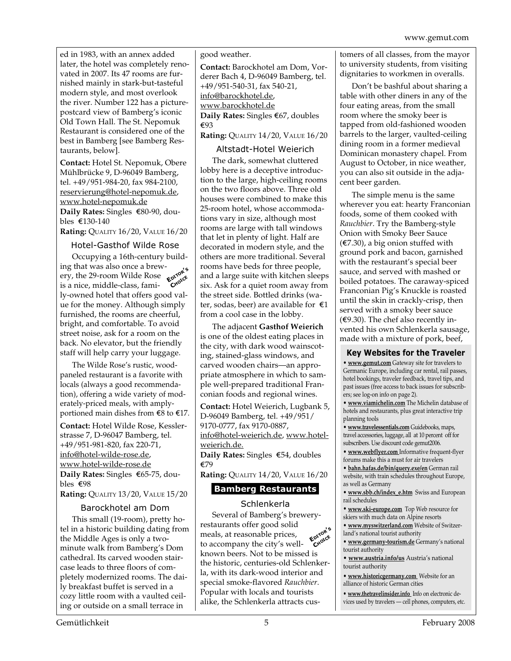ed in 1983, with an annex added later, the hotel was completely renovated in 2007. Its 47 rooms are furnished mainly in stark-but-tasteful modern style, and most overlook the river. Number 122 has a picturepostcard view of Bamberg's iconic Old Town Hall. The St. Nepomuk Restaurant is considered one of the best in Bamberg [see Bamberg Restaurants, below].

**Contact:** Hotel St. Nepomuk, Obere Mühlbrücke 9, D-96049 Bamberg, tel. +49/951-984-20, fax 984-2100, reservierung@hotel-nepomuk.de, www.hotel-nepomuk.de **Daily Rates:** Singles €80-90, doubles ¤130-140

**Rating:** QUALITY 16/20, VALUE 16/20

#### Hotel-Gasthof Wilde Rose

Occupying a 16th-century building that was also once a brewery, the 29-room Wilde Rose **EDITOR'<sup>S</sup>** is a nice, middle-class, family-owned hotel that offers good value for the money. Although simply furnished, the rooms are cheerful, bright, and comfortable. To avoid street noise, ask for a room on the back. No elevator, but the friendly staff will help carry your luggage. **CHOICE**

The Wilde Rose's rustic, woodpaneled restaurant is a favorite with locals (always a good recommendation), offering a wide variety of moderately-priced meals, with amplyportioned main dishes from  $\epsilon$ 8 to  $\epsilon$ 17.

**Contact:** Hotel Wilde Rose, Kesslerstrasse 7, D-96047 Bamberg, tel. +49/951-981-820, fax 220-71, info@hotel-wilde-rose.de, www.hotel-wilde-rose.de **Daily Rates:** Singles €65-75, doubles  $\epsilon$ 98

**Rating:** QUALITY 13/20, VALUE 15/20

#### Barockhotel am Dom

This small (19-room), pretty hotel in a historic building dating from the Middle Ages is only a twominute walk from Bamberg's Dom cathedral. Its carved wooden staircase leads to three floors of completely modernized rooms. The daily breakfast buffet is served in a cozy little room with a vaulted ceiling or outside on a small terrace in

good weather.

**Contact:** Barockhotel am Dom, Vorderer Bach 4, D-96049 Bamberg, tel. +49/951-540-31, fax 540-21, info@barockhotel.de, www.barockhotel.de **Daily Rates:** Singles €67, doubles ¤93

## **Rating:** QUALITY 14/20, VALUE 16/20

#### Altstadt-Hotel Weierich

The dark, somewhat cluttered lobby here is a deceptive introduction to the large, high-ceiling rooms on the two floors above. Three old houses were combined to make this 25-room hotel, whose accommodations vary in size, although most rooms are large with tall windows that let in plenty of light. Half are decorated in modern style, and the others are more traditional. Several rooms have beds for three people, and a large suite with kitchen sleeps six. Ask for a quiet room away from the street side. Bottled drinks (water, sodas, beer) are available for  $\epsilon_1$ from a cool case in the lobby.

The adjacent **Gasthof Weierich** is one of the oldest eating places in the city, with dark wood wainscoting, stained-glass windows, and carved wooden chairs—an appropriate atmosphere in which to sample well-prepared traditional Franconian foods and regional wines.

**Contact:** Hotel Weierich, Lugbank 5, D-96049 Bamberg, tel. +49/951/ 9170-0777, fax 9170-0887, info@hotel-weierich.de, www.hotelweierich.de.

**Daily Rates:** Singles €54, doubles ¤79

**Rating:** QUALITY 14/20, VALUE 16/20

#### **Bamberg Restaurants**

#### Schlenkerla

Several of Bamberg's breweryrestaurants offer good solid meals, at reasonable prices, to accompany the city's wellknown beers. Not to be missed is the historic, centuries-old Schlenkerla, with its dark-wood interior and special smoke-flavored *Rauchbier*. Popular with locals and tourists alike, the Schlenkerla attracts cus-**EDITOR'<sup>S</sup> CHOICE**

tomers of all classes, from the mayor to university students, from visiting dignitaries to workmen in overalls.

Don't be bashful about sharing a table with other diners in any of the four eating areas, from the small room where the smoky beer is tapped from old-fashioned wooden barrels to the larger, vaulted-ceiling dining room in a former medieval Dominican monastery chapel. From August to October, in nice weather, you can also sit outside in the adjacent beer garden.

The simple menu is the same wherever you eat: hearty Franconian foods, some of them cooked with *Rauchbier*. Try the Bamberg-style Onion with Smoky Beer Sauce  $(\text{\textsterling}7.30)$ , a big onion stuffed with ground pork and bacon, garnished with the restaurant's special beer sauce, and served with mashed or boiled potatoes. The caraway-spiced Franconian Pig's Knuckle is roasted until the skin in crackly-crisp, then served with a smoky beer sauce  $(€9.30)$ . The chef also recently invented his own Schlenkerla sausage, made with a mixture of pork, beef,

#### **Key Websites for the Traveler**

**• www.gemut.com** Gateway site for travelers to Germanic Europe, including car rental, rail passes, hotel bookings, traveler feedback, travel tips, and past issues (free access to back issues for subscribers; see log-on info on page 2).

**• www.viamichelin.com** The Michelin database of hotels and restaurants, plus great interactive trip planning tools

**• www.travelessentials.com** Guidebooks, maps, travel accessories, luggage, all at 10 percent off for subscribers. Use discount code gemut2006.

**• www.webflyer.com** Informative frequent-flyer forums make this a must for air travelers

**• bahn.hafas.de/bin/query.exe/en** German rail website, with train schedules throughout Europe, as well as Germany

**• www.sbb.ch/index\_e.htm** Swiss and European rail schedules

**• www.ski-europe.com** Top Web resource for skiers with much data on Alpine resorts

**• www.myswitzerland.com** Website of Switzerland's national tourist authority

**• www.germany-tourism.de** Germany's national tourist authority

**• www.austria.info/us** Austria's national tourist authority

**• www.historicgermany.com** Website for an alliance of historic German cities

**• www.thetravelinsider.info** Info on electronic devices used by travelers — cell phones, computers, etc.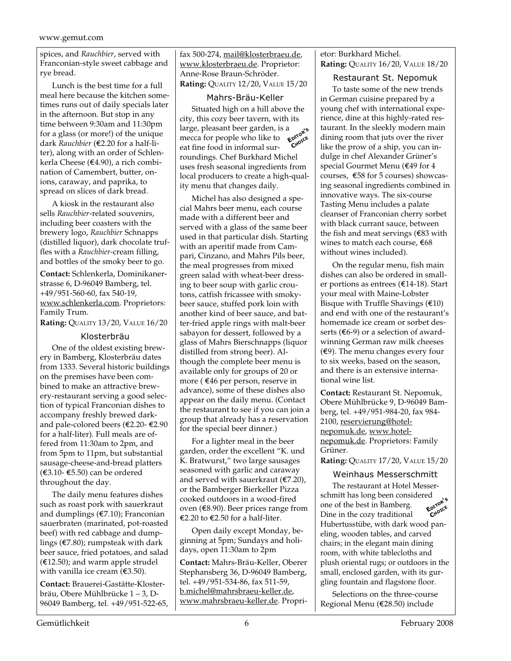spices, and *Rauchbier*, served with Franconian-style sweet cabbage and rye bread.

Lunch is the best time for a full meal here because the kitchen sometimes runs out of daily specials later in the afternoon. But stop in any time between 9:30am and 11:30pm for a glass (or more!) of the unique dark *Rauchbier* (€2.20 for a half-liter), along with an order of Schlenkerla Cheese ( $\epsilon$ 4.90), a rich combination of Camembert, butter, onions, caraway, and paprika, to spread on slices of dark bread.

A kiosk in the restaurant also sells *Rauchbier*-related souvenirs, including beer coasters with the brewery logo, *Rauchbier* Schnapps (distilled liquor), dark chocolate truffles with a *Rauchbier*-cream filling, and bottles of the smoky beer to go.

**Contact:** Schlenkerla, Dominikanerstrasse 6, D-96049 Bamberg, tel. +49/951-560-60, fax 540-19, www.schlenkerla.com. Proprietors: Family Trum.

**Rating:** QUALITY 13/20, VALUE 16/20

#### Klosterbräu

One of the oldest existing brewery in Bamberg, Klosterbräu dates from 1333. Several historic buildings on the premises have been combined to make an attractive brewery-restaurant serving a good selection of typical Franconian dishes to accompany freshly brewed darkand pale-colored beers ( $\epsilon$ 2.20- $\epsilon$ 2.90 for a half-liter). Full meals are offered from 11:30am to 2pm, and from 5pm to 11pm, but substantial sausage-cheese-and-bread platters (€3.10- €5.50) can be ordered throughout the day.

The daily menu features dishes such as roast pork with sauerkraut and dumplings ( $E$ 7.10); Franconian sauerbraten (marinated, pot-roasted beef) with red cabbage and dumplings ( $E$ 7.80); rumpsteak with dark beer sauce, fried potatoes, and salad  $(E12.50)$ ; and warm apple strudel with vanilla ice cream  $(€3.50)$ .

**Contact:** Brauerei-Gastätte-Klosterbräu, Obere Mühlbrücke 1 – 3, D-96049 Bamberg, tel. +49/951-522-65, fax 500-274, mail@klosterbraeu.de, www.klosterbraeu.de. Proprietor: Anne-Rose Braun-Schröder. **Rating:** QUALITY 12/20, VALUE 15/20

Mahrs-Bräu-Keller

Situated high on a hill above the city, this cozy beer tavern, with its large, pleasant beer garden, is a mecca for people who like to eat fine food in informal surroundings. Chef Burkhard Michel uses fresh seasonal ingredients from local producers to create a high-quality menu that changes daily. **EDITOR'<sup>S</sup> CHOICE**

Michel has also designed a special Mahrs beer menu, each course made with a different beer and served with a glass of the same beer used in that particular dish. Starting with an aperitif made from Campari, Cinzano, and Mahrs Pils beer, the meal progresses from mixed green salad with wheat-beer dressing to beer soup with garlic croutons, catfish fricassee with smokybeer sauce, stuffed pork loin with another kind of beer sauce, and batter-fried apple rings with malt-beer sabayon for dessert, followed by a glass of Mahrs Bierschnapps (liquor distilled from strong beer). Although the complete beer menu is available only for groups of 20 or more ( $€46$  per person, reserve in advance), some of these dishes also appear on the daily menu. (Contact the restaurant to see if you can join a group that already has a reservation for the special beer dinner.)

For a lighter meal in the beer garden, order the excellent "K. und K. Bratwurst," two large sausages seasoned with garlic and caraway and served with sauerkraut ( $E$ 7.20), or the Bamberger Bierkeller Pizza cooked outdoors in a wood-fired oven ( $$8.90$ ). Beer prices range from €2.20 to €2.50 for a half-liter.

Open daily except Monday, beginning at 5pm; Sundays and holidays, open 11:30am to 2pm

**Contact:** Mahrs-Bräu-Keller, Oberer Stephansberg 36, D-96049 Bamberg, tel. +49/951-534-86, fax 511-59, b.michel@mahrsbraeu-keller.de, www.mahrsbraeu-keller.de. Propri-

#### etor: Burkhard Michel. **Rating:** QUALITY 16/20, VALUE 18/20

## Restaurant St. Nepomuk

To taste some of the new trends in German cuisine prepared by a young chef with international experience, dine at this highly-rated restaurant. In the sleekly modern main dining room that juts over the river like the prow of a ship, you can indulge in chef Alexander Grüner's special Gourmet Menu (€49 for 4 courses,  $\epsilon$ 58 for 5 courses) showcasing seasonal ingredients combined in innovative ways. The six-course Tasting Menu includes a palate cleanser of Franconian cherry sorbet with black currant sauce, between the fish and meat servings ( $€83$  with wines to match each course,  $€68$ without wines included).

On the regular menu, fish main dishes can also be ordered in smaller portions as entrees ( $E$ 14-18). Start your meal with Maine-Lobster Bisque with Truffle Shavings  $(€10)$ and end with one of the restaurant's homemade ice cream or sorbet desserts ( $\epsilon$ 6-9) or a selection of awardwinning German raw milk cheeses  $(€9)$ . The menu changes every four to six weeks, based on the season, and there is an extensive international wine list.

**Contact:** Restaurant St. Nepomuk, Obere Mühlbrücke 9, D-96049 Bamberg, tel. +49/951-984-20, fax 984- 2100, reservierung@hotelnepomuk.de, www.hotelnepomuk.de. Proprietors: Family Grüner.

**Rating:** QUALITY 17/20, VALUE 15/20

## Weinhaus Messerschmitt

The restaurant at Hotel Messerschmitt has long been considered one of the best in Bamberg. Dine in the cozy traditional Hubertusstübe, with dark wood paneling, wooden tables, and carved chairs; in the elegant main dining room, with white tablecloths and plush oriental rugs; or outdoors in the small, enclosed garden, with its gurgling fountain and flagstone floor. **EDITOR'<sup>S</sup> CHOICE**

Selections on the three-course Regional Menu (€28.50) include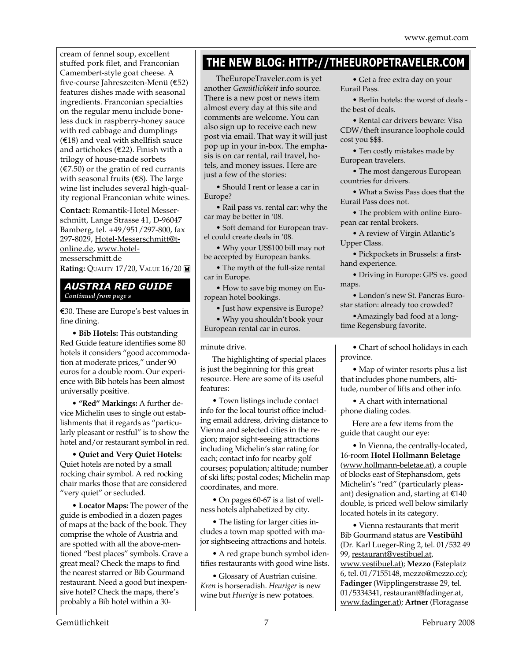cream of fennel soup, excellent stuffed pork filet, and Franconian Camembert-style goat cheese. A five-course Jahreszeiten-Menü (€52) features dishes made with seasonal ingredients. Franconian specialties on the regular menu include boneless duck in raspberry-honey sauce with red cabbage and dumplings  $(£18)$  and veal with shellfish sauce and artichokes ( $E$ 22). Finish with a trilogy of house-made sorbets  $(\text{\textsterling}7.50)$  or the gratin of red currants with seasonal fruits  $(€8)$ . The large wine list includes several high-quality regional Franconian white wines.

**Contact:** Romantik-Hotel Messerschmitt, Lange Strasse 41, D-96047 Bamberg, tel. +49/951/297-800, fax 297-8029, Hotel-Messerschmitt@tonline.de, www.hotelmesserschmitt.de **Rating:** QUALITY 17/20, VALUE 16/20

#### *AUSTRIA RED GUIDE Continued from page s*

E30. These are Europe's best values in fine dining.

**• Bib Hotels:** This outstanding Red Guide feature identifies some 80 hotels it considers "good accommodation at moderate prices," under 90 euros for a double room. Our experience with Bib hotels has been almost universally positive.

**• "Red" Markings:** A further device Michelin uses to single out establishments that it regards as "particularly pleasant or restful" is to show the hotel and/or restaurant symbol in red.

**• Quiet and Very Quiet Hotels:** Quiet hotels are noted by a small rocking chair symbol. A red rocking chair marks those that are considered "very quiet" or secluded.

**• Locator Maps:** The power of the guide is embodied in a dozen pages of maps at the back of the book. They comprise the whole of Austria and are spotted with all the above-mentioned "best places" symbols. Crave a great meal? Check the maps to find the nearest starred or Bib Gourmand restaurant. Need a good but inexpensive hotel? Check the maps, there's probably a Bib hotel within a 30-

## **THE NEW BLOG: HTTP://THEEUROPETRAVELER.COM**

TheEuropeTraveler.com is yet another *Gemütlichkeit* info source. There is a new post or news item almost every day at this site and comments are welcome. You can also sign up to receive each new post via email. That way it will just pop up in your in-box. The emphasis is on car rental, rail travel, hotels, and money issues. Here are just a few of the stories:

• Should I rent or lease a car in Europe?

• Rail pass vs. rental car: why the car may be better in '08.

• Soft demand for European travel could create deals in '08.

• Why your US\$100 bill may not be accepted by European banks.

• The myth of the full-size rental car in Europe.

• How to save big money on European hotel bookings.

• Just how expensive is Europe?

• Why you shouldn't book your

European rental car in euros.

#### minute drive.

The highlighting of special places is just the beginning for this great resource. Here are some of its useful features:

• Town listings include contact info for the local tourist office including email address, driving distance to Vienna and selected cities in the region; major sight-seeing attractions including Michelin's star rating for each; contact info for nearby golf courses; population; altitude; number of ski lifts; postal codes; Michelin map coordinates, and more.

• On pages 60-67 is a list of wellness hotels alphabetized by city.

• The listing for larger cities includes a town map spotted with major sightseeing attractions and hotels.

• A red grape bunch symbol identifies restaurants with good wine lists.

• Glossary of Austrian cuisine. *Kren* is horseradish. *Heuriger* is new wine but *Huerige* is new potatoes.

• Get a free extra day on your Eurail Pass.

• Berlin hotels: the worst of deals the best of deals.

• Rental car drivers beware: Visa CDW/theft insurance loophole could cost you \$\$\$.

• Ten costly mistakes made by European travelers.

• The most dangerous European countries for drivers.

• What a Swiss Pass does that the Eurail Pass does not.

• The problem with online European car rental brokers.

• A review of Virgin Atlantic's Upper Class.

• Pickpockets in Brussels: a firsthand experience.

• Driving in Europe: GPS vs. good maps.

• London's new St. Pancras Eurostar station: already too crowded?

•Amazingly bad food at a longtime Regensburg favorite.

• Chart of school holidays in each province.

• Map of winter resorts plus a list that includes phone numbers, altitude, number of lifts and other info.

• A chart with international phone dialing codes.

Here are a few items from the guide that caught our eye:

• In Vienna, the centrally-located, 16-room **Hotel Hollmann Beletage** (www.hollmann-beletae.at), a couple of blocks east of Stephansdom, gets Michelin's "red" (particularly pleasant) designation and, starting at  $\epsilon$ 140 double, is priced well below similarly located hotels in its category.

• Vienna restaurants that merit Bib Gourmand status are **Vestibühl** (Dr. Karl Lueger-Ring 2, tel. 01/532 49 99, restaurant@vestibuel.at, www.vestibuel.at); **Mezzo** (Esteplatz 6, tel. 01/7155148, mezzo@mezzo.cc); **Fadinger** (Wipplingerstrasse 29, tel. 01/5334341, restaurant@fadinger.at, www.fadinger.at); **Artner** (Floragasse